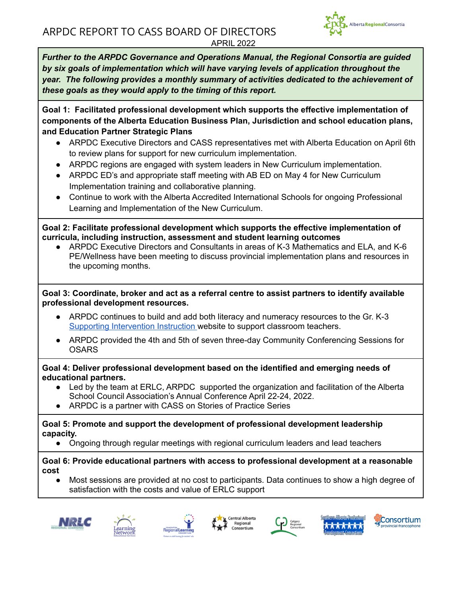

<span id="page-0-0"></span>**Goal 1: Facilitated professional development which supports the effective implementation of components of the Alberta Education Business Plan, Jurisdiction and school education plans, and Education Partner Strategic Plans**

- ARPDC Executive Directors and CASS representatives met with Alberta Education on April 6th to review plans for support for new curriculum implementation.
- ARPDC regions are engaged with system leaders in New Curriculum implementation.
- ARPDC ED's and appropriate staff meeting with AB ED on May 4 for New Curriculum Implementation training and collaborative planning.
- Continue to work with the Alberta Accredited International Schools for ongoing Professional Learning and Implementation of the New Curriculum.

**Goal 2: Facilitate professional development which supports the effective implementation of curricula, including instruction, assessment and student learning outcomes**

● ARPDC Executive Directors and Consultants in areas of K-3 Mathematics and ELA, and K-6 PE/Wellness have been meeting to discuss provincial implementation plans and resources in the upcoming months.

**Goal 3: Coordinate, broker and act as a referral centre to assist partners to identify available professional development resources.**

- ARPDC continues to build and add both literacy and numeracy resources to the Gr. K-3 Supporting [Intervention](https://sites.google.com/arpdc.ab.ca/supporting-intervention-instru/numeracy-support) Instruction website to support classroom teachers.
- ARPDC provided the 4th and 5th of seven three-day Community Conferencing Sessions for **OSARS**

**Goal 4: Deliver professional development based on the identified and emerging needs of educational partners.**

- **●** Led by the team at ERLC, ARPDC supported the organization and facilitation of the Alberta School Council Association's Annual Conference April 22-24, 2022.
- ARPDC is a partner with CASS on Stories of Practice Series

**Goal 5: Promote and support the development of professional development leadership capacity.**

Ongoing through regular meetings with regional curriculum leaders and lead teachers

**Goal 6: Provide educational partners with access to professional development at a reasonable cost**

**●** Most sessions are provided at no cost to participants. Data continues to show a high degree of satisfaction with the costs and value of ERLC support











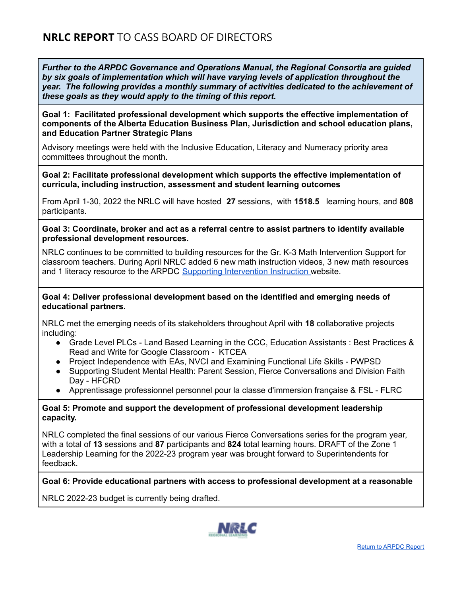**Goal 1: Facilitated professional development which supports the effective implementation of components of the Alberta Education Business Plan, Jurisdiction and school education plans, and Education Partner Strategic Plans**

Advisory meetings were held with the Inclusive Education, Literacy and Numeracy priority area committees throughout the month.

**Goal 2: Facilitate professional development which supports the effective implementation of curricula, including instruction, assessment and student learning outcomes**

From April 1-30, 2022 the NRLC will have hosted **27** sessions, with **1518.5** learning hours, and **808** participants.

#### **Goal 3: Coordinate, broker and act as a referral centre to assist partners to identify available professional development resources.**

NRLC continues to be committed to building resources for the Gr. K-3 Math Intervention Support for classroom teachers. During April NRLC added 6 new math instruction videos, 3 new math resources and 1 literacy resource to the ARPDC Supporting [Intervention](https://sites.google.com/arpdc.ab.ca/supporting-intervention-instru/numeracy-support) Instruction website.

**Goal 4: Deliver professional development based on the identified and emerging needs of educational partners.**

NRLC met the emerging needs of its stakeholders throughout April with **18** collaborative projects including:

- Grade Level PLCs Land Based Learning in the CCC, Education Assistants : Best Practices & Read and Write for Google Classroom - KTCEA
- Project Independence with EAs, NVCI and Examining Functional Life Skills PWPSD
- Supporting Student Mental Health: Parent Session, Fierce Conversations and Division Faith Day - HFCRD
- Apprentissage professionnel personnel pour la classe d'immersion française & FSL FLRC

# **Goal 5: Promote and support the development of professional development leadership capacity.**

NRLC completed the final sessions of our various Fierce Conversations series for the program year, with a total of **13** sessions and **87** participants and **824** total learning hours. DRAFT of the Zone 1 Leadership Learning for the 2022-23 program year was brought forward to Superintendents for feedback.

#### **Goal 6: Provide educational partners with access to professional development at a reasonable**

NRLC 2022-23 budget is currently being drafted.

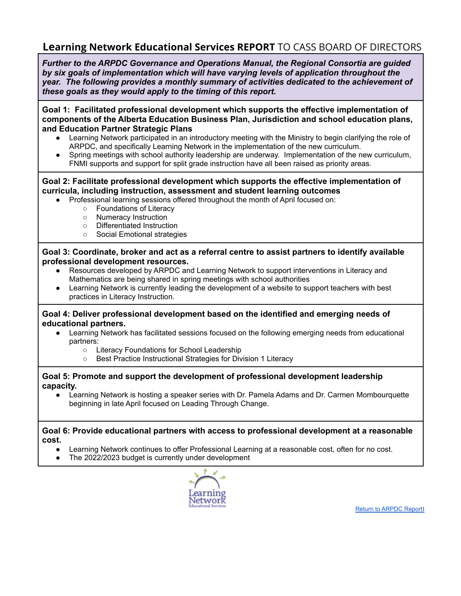# **Learning Network Educational Services REPORT** TO CASS BOARD OF DIRECTORS

*Further to the ARPDC Governance and Operations Manual, the Regional Consortia are guided by six goals of implementation which will have varying levels of application throughout the year. The following provides a monthly summary of activities dedicated to the achievement of these goals as they would apply to the timing of this report.*

**Goal 1: Facilitated professional development which supports the effective implementation of components of the Alberta Education Business Plan, Jurisdiction and school education plans, and Education Partner Strategic Plans**

- Learning Network participated in an introductory meeting with the Ministry to begin clarifying the role of ARPDC, and specifically Learning Network in the implementation of the new curriculum.
- Spring meetings with school authority leadership are underway. Implementation of the new curriculum, FNMI supports and support for split grade instruction have all been raised as priority areas.

# **Goal 2: Facilitate professional development which supports the effective implementation of curricula, including instruction, assessment and student learning outcomes**

- Professional learning sessions offered throughout the month of April focused on:
	- Foundations of Literacy
	- Numeracy Instruction
	- Differentiated Instruction
	- Social Emotional strategies

#### **Goal 3: Coordinate, broker and act as a referral centre to assist partners to identify available professional development resources.**

- Resources developed by ARPDC and Learning Network to support interventions in Literacy and Mathematics are being shared in spring meetings with school authorities
- Learning Network is currently leading the development of a website to support teachers with best practices in Literacy Instruction.

#### **Goal 4: Deliver professional development based on the identified and emerging needs of educational partners.**

- Learning Network has facilitated sessions focused on the following emerging needs from educational partners:
	- Literacy Foundations for School Leadership
	- Best Practice Instructional Strategies for Division 1 Literacy

#### **Goal 5: Promote and support the development of professional development leadership capacity.**

Learning Network is hosting a speaker series with Dr. Pamela Adams and Dr. Carmen Mombourquette beginning in late April focused on Leading Through Change.

**Goal 6: Provide educational partners with access to professional development at a reasonable cost.**

- Learning Network continues to offer Professional Learning at a reasonable cost, often for no cost.
- The 2022/2023 budget is currently under development



Return to [ARPDC](#page-0-0) Report[t](https://docs.google.com/document/d/1JqnlmKurVyyRynvOyp3R4HkHr2h-li3L3fg-HF99fBo/edit#bookmark=id.vg31kco2r9gc)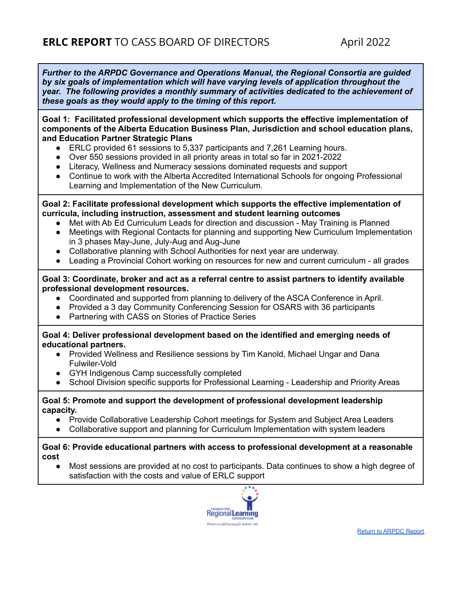**Goal 1: Facilitated professional development which supports the effective implementation of components of the Alberta Education Business Plan, Jurisdiction and school education plans, and Education Partner Strategic Plans**

- ERLC provided 61 sessions to 5,337 participants and 7,261 Learning hours.
- Over 550 sessions provided in all priority areas in total so far in 2021-2022
- Literacy, Wellness and Numeracy sessions dominated requests and support
- Continue to work with the Alberta Accredited International Schools for ongoing Professional Learning and Implementation of the New Curriculum.

#### **Goal 2: Facilitate professional development which supports the effective implementation of curricula, including instruction, assessment and student learning outcomes**

- Met with Ab Ed Curriculum Leads for direction and discussion May Training is Planned
- Meetings with Regional Contacts for planning and supporting New Curriculum Implementation in 3 phases May-June, July-Aug and Aug-June
- Collaborative planning with School Authorities for next year are underway.
- Leading a Provincial Cohort working on resources for new and current curriculum all grades

#### **Goal 3: Coordinate, broker and act as a referral centre to assist partners to identify available professional development resources.**

- Coordinated and supported from planning to delivery of the ASCA Conference in April.
- Provided a 3 day Community Conferencing Session for OSARS with 36 participants
- Partnering with CASS on Stories of Practice Series

**Goal 4: Deliver professional development based on the identified and emerging needs of educational partners.**

- Provided Wellness and Resilience sessions by Tim Kanold, Michael Ungar and Dana Fulwiler-Vold
- GYH Indigenous Camp successfully completed
- School Division specific supports for Professional Learning Leadership and Priority Areas

#### **Goal 5: Promote and support the development of professional development leadership capacity.**

- Provide Collaborative Leadership Cohort meetings for System and Subject Area Leaders
- Collaborative support and planning for Curriculum Implementation with system leaders

#### **Goal 6: Provide educational partners with access to professional development at a reasonable cost**

● Most sessions are provided at no cost to participants. Data continues to show a high degree of satisfaction with the costs and value of ERLC support

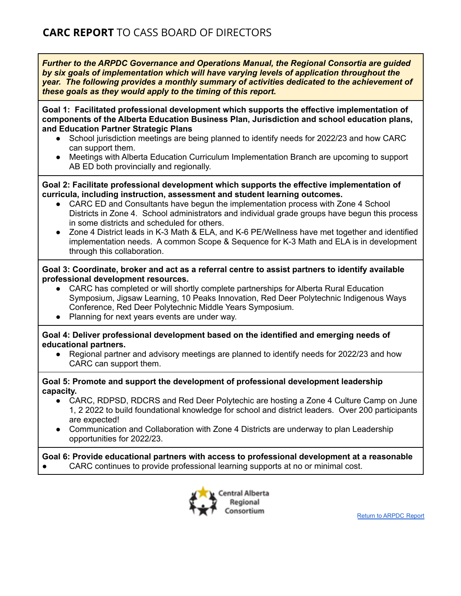**Goal 1: Facilitated professional development which supports the effective implementation of components of the Alberta Education Business Plan, Jurisdiction and school education plans, and Education Partner Strategic Plans**

- School jurisdiction meetings are being planned to identify needs for 2022/23 and how CARC can support them.
- Meetings with Alberta Education Curriculum Implementation Branch are upcoming to support AB ED both provincially and regionally.

**Goal 2: Facilitate professional development which supports the effective implementation of curricula, including instruction, assessment and student learning outcomes.**

- CARC ED and Consultants have begun the implementation process with Zone 4 School Districts in Zone 4. School administrators and individual grade groups have begun this process in some districts and scheduled for others.
- Zone 4 District leads in K-3 Math & ELA, and K-6 PE/Wellness have met together and identified implementation needs. A common Scope & Sequence for K-3 Math and ELA is in development through this collaboration.

# **Goal 3: Coordinate, broker and act as a referral centre to assist partners to identify available professional development resources.**

- CARC has completed or will shortly complete partnerships for Alberta Rural Education Symposium, Jigsaw Learning, 10 Peaks Innovation, Red Deer Polytechnic Indigenous Ways Conference, Red Deer Polytechnic Middle Years Symposium.
- Planning for next years events are under way.

# **Goal 4: Deliver professional development based on the identified and emerging needs of educational partners.**

• Regional partner and advisory meetings are planned to identify needs for 2022/23 and how CARC can support them.

# **Goal 5: Promote and support the development of professional development leadership capacity.**

- CARC, RDPSD, RDCRS and Red Deer Polytechic are hosting a Zone 4 Culture Camp on June 1, 2 2022 to build foundational knowledge for school and district leaders. Over 200 participants are expected!
- Communication and Collaboration with Zone 4 Districts are underway to plan Leadership opportunities for 2022/23.

# **Goal 6: Provide educational partners with access to professional development at a reasonable**

CARC continues to provide professional learning supports at no or minimal cost.



Return to [ARPDC](#page-0-0) Report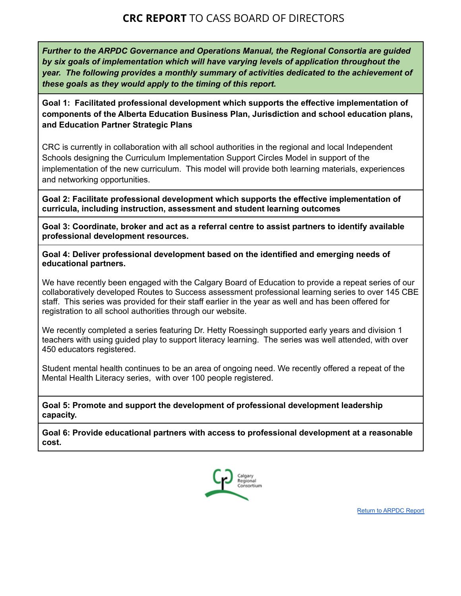# **CRC REPORT** TO CASS BOARD OF DIRECTORS

*Further to the ARPDC Governance and Operations Manual, the Regional Consortia are guided by six goals of implementation which will have varying levels of application throughout the year. The following provides a monthly summary of activities dedicated to the achievement of these goals as they would apply to the timing of this report.*

**Goal 1: Facilitated professional development which supports the effective implementation of components of the Alberta Education Business Plan, Jurisdiction and school education plans, and Education Partner Strategic Plans**

CRC is currently in collaboration with all school authorities in the regional and local Independent Schools designing the Curriculum Implementation Support Circles Model in support of the implementation of the new curriculum. This model will provide both learning materials, experiences and networking opportunities.

**Goal 2: Facilitate professional development which supports the effective implementation of curricula, including instruction, assessment and student learning outcomes**

**Goal 3: Coordinate, broker and act as a referral centre to assist partners to identify available professional development resources.**

**Goal 4: Deliver professional development based on the identified and emerging needs of educational partners.**

We have recently been engaged with the Calgary Board of Education to provide a repeat series of our collaboratively developed Routes to Success assessment professional learning series to over 145 CBE staff. This series was provided for their staff earlier in the year as well and has been offered for registration to all school authorities through our website.

We recently completed a series featuring Dr. Hetty Roessingh supported early years and division 1 teachers with using guided play to support literacy learning. The series was well attended, with over 450 educators registered.

Student mental health continues to be an area of ongoing need. We recently offered a repeat of the Mental Health Literacy series, with over 100 people registered.

**Goal 5: Promote and support the development of professional development leadership capacity.**

**Goal 6: Provide educational partners with access to professional development at a reasonable cost.**



Return to [ARPDC](#page-0-0) Report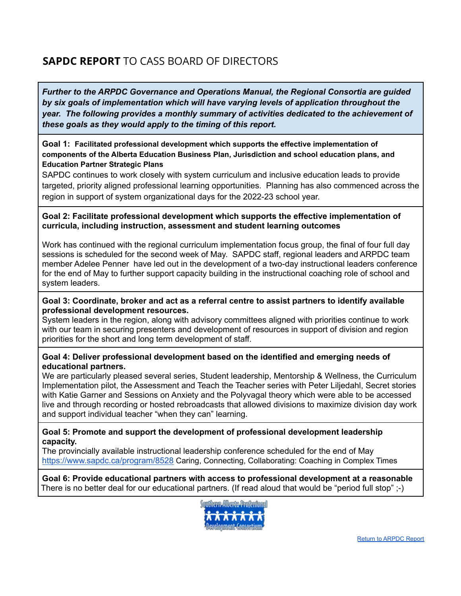# **SAPDC REPORT** TO CASS BOARD OF DIRECTORS

*Further to the ARPDC Governance and Operations Manual, the Regional Consortia are guided by six goals of implementation which will have varying levels of application throughout the year. The following provides a monthly summary of activities dedicated to the achievement of these goals as they would apply to the timing of this report.*

# **Goal 1: Facilitated professional development which supports the effective implementation of components of the Alberta Education Business Plan, Jurisdiction and school education plans, and Education Partner Strategic Plans**

SAPDC continues to work closely with system curriculum and inclusive education leads to provide targeted, priority aligned professional learning opportunities. Planning has also commenced across the region in support of system organizational days for the 2022-23 school year.

# **Goal 2: Facilitate professional development which supports the effective implementation of curricula, including instruction, assessment and student learning outcomes**

Work has continued with the regional curriculum implementation focus group, the final of four full day sessions is scheduled for the second week of May. SAPDC staff, regional leaders and ARPDC team member Adelee Penner have led out in the development of a two-day instructional leaders conference for the end of May to further support capacity building in the instructional coaching role of school and system leaders.

# **Goal 3: Coordinate, broker and act as a referral centre to assist partners to identify available professional development resources.**

System leaders in the region, along with advisory committees aligned with priorities continue to work with our team in securing presenters and development of resources in support of division and region priorities for the short and long term development of staff.

# **Goal 4: Deliver professional development based on the identified and emerging needs of educational partners.**

We are particularly pleased several series, Student leadership, Mentorship & Wellness, the Curriculum Implementation pilot, the Assessment and Teach the Teacher series with Peter Liljedahl, Secret stories with Katie Garner and Sessions on Anxiety and the Polyvagal theory which were able to be accessed live and through recording or hosted rebroadcasts that allowed divisions to maximize division day work and support individual teacher "when they can" learning.

# **Goal 5: Promote and support the development of professional development leadership capacity.**

The provincially available instructional leadership conference scheduled for the end of May <https://www.sapdc.ca/program/8528> Caring, Connecting, Collaborating: Coaching in Complex Times

**Goal 6: Provide educational partners with access to professional development at a reasonable** There is no better deal for our educational partners. (If read aloud that would be "period full stop" ;-)